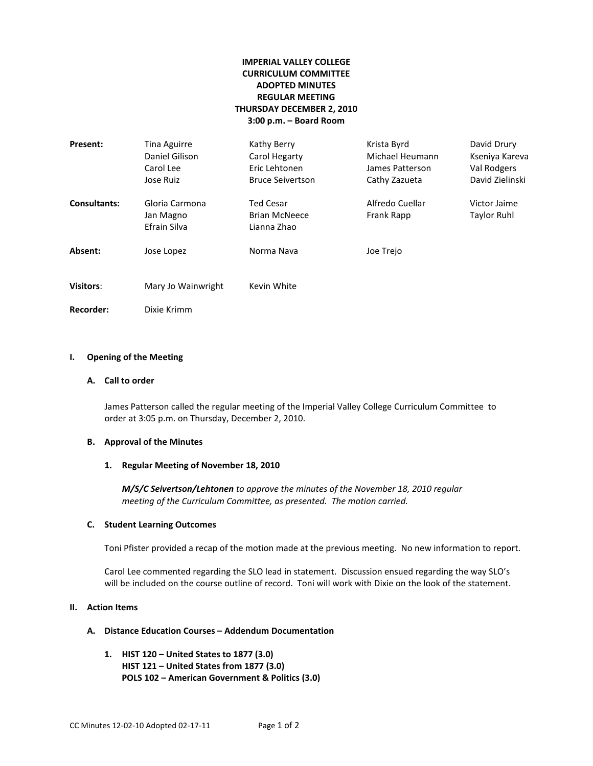# **IMPERIAL VALLEY COLLEGE CURRICULUM COMMITTEE ADOPTED MINUTES REGULAR MEETING THURSDAY DECEMBER 2, 2010 3:00 p.m. – Board Room**

| Present:            | <b>Tina Aguirre</b><br>Daniel Gilison<br>Carol Lee<br>Jose Ruiz | Kathy Berry<br>Carol Hegarty<br>Eric Lehtonen<br><b>Bruce Seivertson</b> | Krista Byrd<br>Michael Heumann<br>James Patterson<br>Cathy Zazueta | David Drury<br>Kseniya Kareva<br>Val Rodgers<br>David Zielinski |
|---------------------|-----------------------------------------------------------------|--------------------------------------------------------------------------|--------------------------------------------------------------------|-----------------------------------------------------------------|
| <b>Consultants:</b> | Gloria Carmona<br>Jan Magno<br>Efrain Silva                     | <b>Ted Cesar</b><br><b>Brian McNeece</b><br>Lianna Zhao                  | Alfredo Cuellar<br>Frank Rapp                                      | Victor Jaime<br>Taylor Ruhl                                     |
| Absent:             | Jose Lopez                                                      | Norma Nava                                                               | Joe Trejo                                                          |                                                                 |
| <b>Visitors:</b>    | Mary Jo Wainwright                                              | Kevin White                                                              |                                                                    |                                                                 |
| <b>Recorder:</b>    | Dixie Krimm                                                     |                                                                          |                                                                    |                                                                 |

### **I. Opening of the Meeting**

#### **A. Call to order**

James Patterson called the regular meeting of the Imperial Valley College Curriculum Committee to order at 3:05 p.m. on Thursday, December 2, 2010.

### **B. Approval of the Minutes**

### **1. Regular Meeting of November 18, 2010**

*M/S/C Seivertson/Lehtonen to approve the minutes of the November 18, 2010 regular meeting of the Curriculum Committee, as presented. The motion carried.*

#### **C. Student Learning Outcomes**

Toni Pfister provided a recap of the motion made at the previous meeting. No new information to report.

Carol Lee commented regarding the SLO lead in statement. Discussion ensued regarding the way SLO's will be included on the course outline of record. Toni will work with Dixie on the look of the statement.

### **II. Action Items**

#### **A. Distance Education Courses – Addendum Documentation**

**1. HIST 120 – United States to 1877 (3.0) HIST 121 – United States from 1877 (3.0) POLS 102 – American Government & Politics (3.0)**